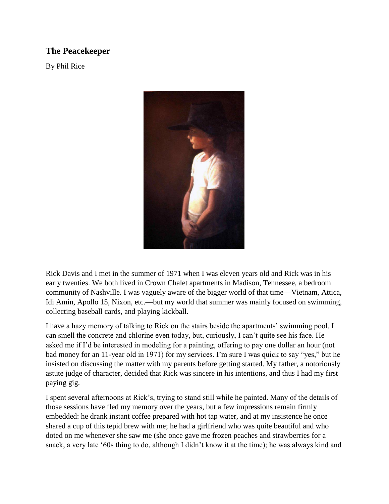## **The Peacekeeper**

By Phil Rice



Rick Davis and I met in the summer of 1971 when I was eleven years old and Rick was in his early twenties. We both lived in Crown Chalet apartments in Madison, Tennessee, a bedroom community of Nashville. I was vaguely aware of the bigger world of that time—Vietnam, Attica, Idi Amin, Apollo 15, Nixon, etc.—but my world that summer was mainly focused on swimming, collecting baseball cards, and playing kickball.

I have a hazy memory of talking to Rick on the stairs beside the apartments' swimming pool. I can smell the concrete and chlorine even today, but, curiously, I can't quite see his face. He asked me if I'd be interested in modeling for a painting, offering to pay one dollar an hour (not bad money for an 11-year old in 1971) for my services. I'm sure I was quick to say "yes," but he insisted on discussing the matter with my parents before getting started. My father, a notoriously astute judge of character, decided that Rick was sincere in his intentions, and thus I had my first paying gig.

I spent several afternoons at Rick's, trying to stand still while he painted. Many of the details of those sessions have fled my memory over the years, but a few impressions remain firmly embedded: he drank instant coffee prepared with hot tap water, and at my insistence he once shared a cup of this tepid brew with me; he had a girlfriend who was quite beautiful and who doted on me whenever she saw me (she once gave me frozen peaches and strawberries for a snack, a very late '60s thing to do, although I didn't know it at the time); he was always kind and